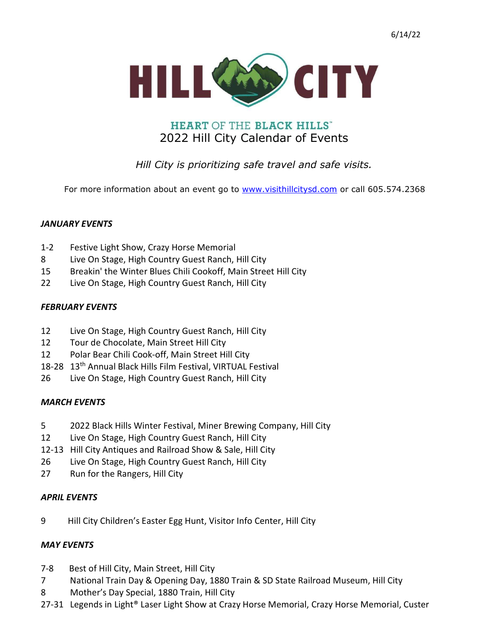

# **HEART OF THE BLACK HILLS"** 2022 Hill City Calendar of Events

# Hill City is prioritizing safe travel and safe visits.

For more information about an event go to www.visithillcitysd.com or call 605.574.2368

#### JANUARY EVENTS

- 1-2 Festive Light Show, Crazy Horse Memorial
- 8 Live On Stage, High Country Guest Ranch, Hill City
- 15 Breakin' the Winter Blues Chili Cookoff, Main Street Hill City
- 22 Live On Stage, High Country Guest Ranch, Hill City

#### FEBRUARY EVENTS

- 12 Live On Stage, High Country Guest Ranch, Hill City
- 12 Tour de Chocolate, Main Street Hill City
- 12 Polar Bear Chili Cook-off, Main Street Hill City
- 18-28 13<sup>th</sup> Annual Black Hills Film Festival, VIRTUAL Festival
- 26 Live On Stage, High Country Guest Ranch, Hill City

#### MARCH EVENTS

- 5 2022 Black Hills Winter Festival, Miner Brewing Company, Hill City
- 12 Live On Stage, High Country Guest Ranch, Hill City
- 12-13 Hill City Antiques and Railroad Show & Sale, Hill City
- 26 Live On Stage, High Country Guest Ranch, Hill City
- 27 Run for the Rangers, Hill City

#### APRIL EVENTS

9 Hill City Children's Easter Egg Hunt, Visitor Info Center, Hill City

#### MAY EVENTS

- 7-8 Best of Hill City, Main Street, Hill City
- 7 National Train Day & Opening Day, 1880 Train & SD State Railroad Museum, Hill City
- 8 Mother's Day Special, 1880 Train, Hill City
- 27-31 Legends in Light® Laser Light Show at Crazy Horse Memorial, Crazy Horse Memorial, Custer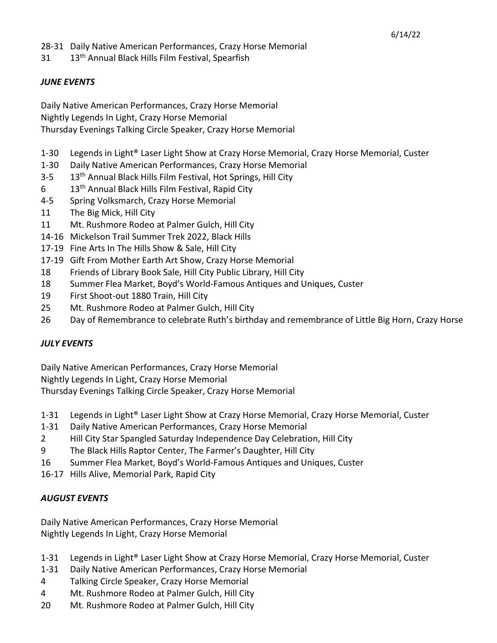31 13<sup>th</sup> Annual Black Hills Film Festival, Spearfish

### JUNE EVENTS

Daily Native American Performances, Crazy Horse Memorial Nightly Legends In Light, Crazy Horse Memorial Thursday Evenings Talking Circle Speaker, Crazy Horse Memorial

- 1-30 Legends in Light® Laser Light Show at Crazy Horse Memorial, Crazy Horse Memorial, Custer
- 1-30 Daily Native American Performances, Crazy Horse Memorial
- 3-5 13<sup>th</sup> Annual Black Hills Film Festival, Hot Springs, Hill City
- $6$  13<sup>th</sup> Annual Black Hills Film Festival, Rapid City
- 4-5 Spring Volksmarch, Crazy Horse Memorial
- 11 The Big Mick, Hill City
- 11 Mt. Rushmore Rodeo at Palmer Gulch, Hill City
- 14-16 Mickelson Trail Summer Trek 2022, Black Hills
- 17-19 Fine Arts In The Hills Show & Sale, Hill City
- 17-19 Gift From Mother Earth Art Show, Crazy Horse Memorial
- 18 Friends of Library Book Sale, Hill City Public Library, Hill City
- 18 Summer Flea Market, Boyd's World-Famous Antiques and Uniques, Custer
- 19 First Shoot-out 1880 Train, Hill City
- 25 Mt. Rushmore Rodeo at Palmer Gulch, Hill City
- 26 Day of Remembrance to celebrate Ruth's birthday and remembrance of Little Big Horn, Crazy Horse

#### JULY EVENTS

Daily Native American Performances, Crazy Horse Memorial

Nightly Legends In Light, Crazy Horse Memorial

Thursday Evenings Talking Circle Speaker, Crazy Horse Memorial

- 1-31 Legends in Light® Laser Light Show at Crazy Horse Memorial, Crazy Horse Memorial, Custer
- 1-31 Daily Native American Performances, Crazy Horse Memorial
- 2 Hill City Star Spangled Saturday Independence Day Celebration, Hill City
- 9 The Black Hills Raptor Center, The Farmer's Daughter, Hill City
- 16 Summer Flea Market, Boyd's World-Famous Antiques and Uniques, Custer
- 16-17 Hills Alive, Memorial Park, Rapid City

# AUGUST EVENTS

Daily Native American Performances, Crazy Horse Memorial Nightly Legends In Light, Crazy Horse Memorial

- 1-31 Legends in Light® Laser Light Show at Crazy Horse Memorial, Crazy Horse Memorial, Custer
- 1-31 Daily Native American Performances, Crazy Horse Memorial
- 4 Talking Circle Speaker, Crazy Horse Memorial
- 4 Mt. Rushmore Rodeo at Palmer Gulch, Hill City
- 20 Mt. Rushmore Rodeo at Palmer Gulch, Hill City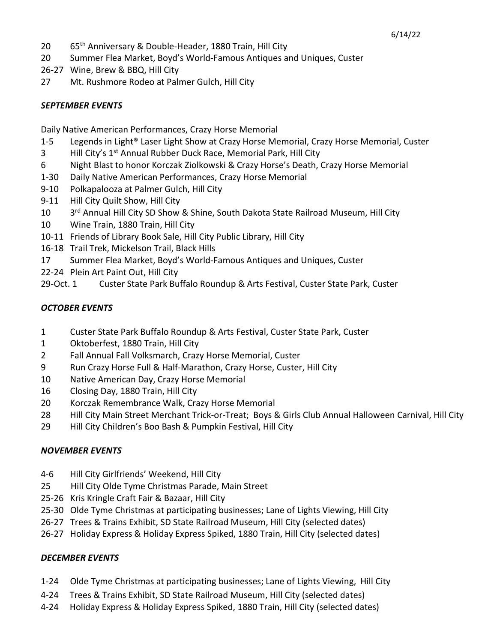- 20 65th Anniversary & Double-Header, 1880 Train, Hill City
- 20 Summer Flea Market, Boyd's World-Famous Antiques and Uniques, Custer
- 26-27 Wine, Brew & BBQ, Hill City
- 27 Mt. Rushmore Rodeo at Palmer Gulch, Hill City

### SEPTEMBER EVENTS

Daily Native American Performances, Crazy Horse Memorial

- 1-5 Legends in Light® Laser Light Show at Crazy Horse Memorial, Crazy Horse Memorial, Custer
- 3 Hill City's 1<sup>st</sup> Annual Rubber Duck Race, Memorial Park, Hill City
- 6 Night Blast to honor Korczak Ziolkowski & Crazy Horse's Death, Crazy Horse Memorial
- 1-30 Daily Native American Performances, Crazy Horse Memorial
- 9-10 Polkapalooza at Palmer Gulch, Hill City
- 9-11 Hill City Quilt Show, Hill City
- 10 3rd Annual Hill City SD Show & Shine, South Dakota State Railroad Museum, Hill City
- 10 Wine Train, 1880 Train, Hill City
- 10-11 Friends of Library Book Sale, Hill City Public Library, Hill City
- 16-18 Trail Trek, Mickelson Trail, Black Hills
- 17 Summer Flea Market, Boyd's World-Famous Antiques and Uniques, Custer
- 22-24 Plein Art Paint Out, Hill City
- 29-Oct. 1 Custer State Park Buffalo Roundup & Arts Festival, Custer State Park, Custer

## OCTOBER EVENTS

- 1 Custer State Park Buffalo Roundup & Arts Festival, Custer State Park, Custer
- 1 Oktoberfest, 1880 Train, Hill City
- 2 Fall Annual Fall Volksmarch, Crazy Horse Memorial, Custer
- 9 Run Crazy Horse Full & Half-Marathon, Crazy Horse, Custer, Hill City
- 10 Native American Day, Crazy Horse Memorial
- 16 Closing Day, 1880 Train, Hill City
- 20 Korczak Remembrance Walk, Crazy Horse Memorial
- 28 Hill City Main Street Merchant Trick-or-Treat; Boys & Girls Club Annual Halloween Carnival, Hill City
- 29 Hill City Children's Boo Bash & Pumpkin Festival, Hill City

#### NOVEMBER EVENTS

- 4-6 Hill City Girlfriends' Weekend, Hill City
- 25 Hill City Olde Tyme Christmas Parade, Main Street
- 25-26 Kris Kringle Craft Fair & Bazaar, Hill City
- 25-30 Olde Tyme Christmas at participating businesses; Lane of Lights Viewing, Hill City
- 26-27 Trees & Trains Exhibit, SD State Railroad Museum, Hill City (selected dates)
- 26-27 Holiday Express & Holiday Express Spiked, 1880 Train, Hill City (selected dates)

# DECEMBER EVENTS

- 1-24 Olde Tyme Christmas at participating businesses; Lane of Lights Viewing, Hill City
- 4-24 Trees & Trains Exhibit, SD State Railroad Museum, Hill City (selected dates)
- 4-24 Holiday Express & Holiday Express Spiked, 1880 Train, Hill City (selected dates)